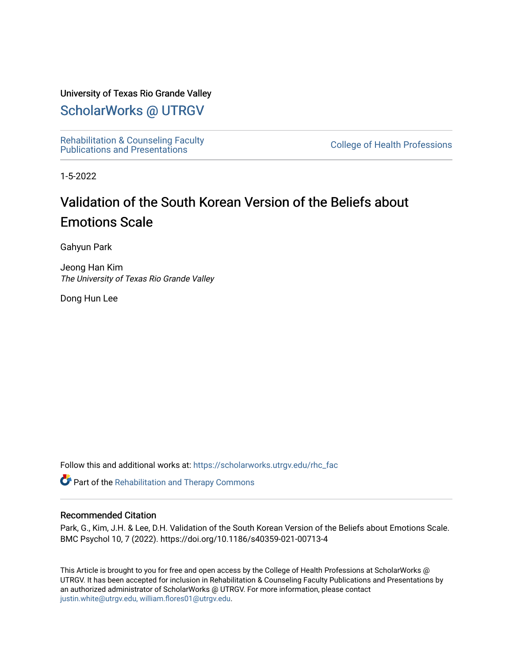# University of Texas Rio Grande Valley

# [ScholarWorks @ UTRGV](https://scholarworks.utrgv.edu/)

[Rehabilitation & Counseling Faculty](https://scholarworks.utrgv.edu/rhc_fac)  Renabilitation & Couriseling Faculty<br>[Publications and Presentations](https://scholarworks.utrgv.edu/rhc_fac) College of Health Professions

1-5-2022

# Validation of the South Korean Version of the Beliefs about Emotions Scale

Gahyun Park

Jeong Han Kim The University of Texas Rio Grande Valley

Dong Hun Lee

Follow this and additional works at: [https://scholarworks.utrgv.edu/rhc\\_fac](https://scholarworks.utrgv.edu/rhc_fac?utm_source=scholarworks.utrgv.edu%2Frhc_fac%2F28&utm_medium=PDF&utm_campaign=PDFCoverPages) 

**Part of the Rehabilitation and Therapy Commons** 

# Recommended Citation

Park, G., Kim, J.H. & Lee, D.H. Validation of the South Korean Version of the Beliefs about Emotions Scale. BMC Psychol 10, 7 (2022). https://doi.org/10.1186/s40359-021-00713-4

This Article is brought to you for free and open access by the College of Health Professions at ScholarWorks @ UTRGV. It has been accepted for inclusion in Rehabilitation & Counseling Faculty Publications and Presentations by an authorized administrator of ScholarWorks @ UTRGV. For more information, please contact [justin.white@utrgv.edu, william.flores01@utrgv.edu](mailto:justin.white@utrgv.edu,%20william.flores01@utrgv.edu).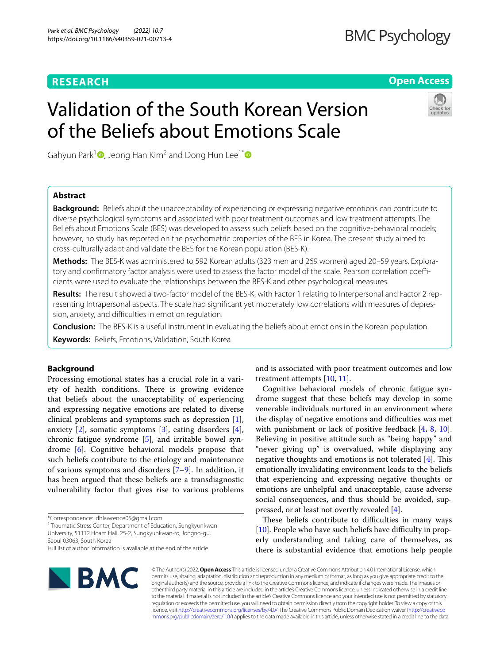# **RESEARCH**

# **Open Access**

# Validation of the South Korean Version of the Beliefs about Emotions Scale



Gahyun Park<sup>1</sup>  $\Phi$ [,](http://orcid.org/0000-0001-9086-8302) Jeong Han Kim<sup>2</sup> and Dong Hun Lee<sup>1[\\*](http://orcid.org/0000-0001-9226-7631)</sup>  $\Phi$ 

# **Abstract**

**Background:** Beliefs about the unacceptability of experiencing or expressing negative emotions can contribute to diverse psychological symptoms and associated with poor treatment outcomes and low treatment attempts. The Beliefs about Emotions Scale (BES) was developed to assess such beliefs based on the cognitive-behavioral models; however, no study has reported on the psychometric properties of the BES in Korea. The present study aimed to cross-culturally adapt and validate the BES for the Korean population (BES-K).

**Methods:** The BES-K was administered to 592 Korean adults (323 men and 269 women) aged 20–59 years. Exploratory and confirmatory factor analysis were used to assess the factor model of the scale. Pearson correlation coefficients were used to evaluate the relationships between the BES-K and other psychological measures.

**Results:** The result showed a two-factor model of the BES-K, with Factor 1 relating to Interpersonal and Factor 2 representing Intrapersonal aspects. The scale had signifcant yet moderately low correlations with measures of depression, anxiety, and difficulties in emotion regulation.

**Conclusion:** The BES-K is a useful instrument in evaluating the beliefs about emotions in the Korean population.

**Keywords:** Beliefs, Emotions, Validation, South Korea

# **Background**

Processing emotional states has a crucial role in a variety of health conditions. There is growing evidence that beliefs about the unacceptability of experiencing and expressing negative emotions are related to diverse clinical problems and symptoms such as depression [\[1](#page-8-0)], anxiety [\[2](#page-8-1)], somatic symptoms [\[3](#page-8-2)], eating disorders [\[4](#page-8-3)], chronic fatigue syndrome [[5\]](#page-8-4), and irritable bowel syndrome [\[6\]](#page-8-5). Cognitive behavioral models propose that such beliefs contribute to the etiology and maintenance of various symptoms and disorders [[7–](#page-8-6)[9\]](#page-8-7). In addition, it has been argued that these beliefs are a transdiagnostic vulnerability factor that gives rise to various problems

<sup>1</sup> Traumatic Stress Center, Department of Education, Sungkyunkwan University, 51112 Hoam Hall, 25-2, Sungkyunkwan-ro, Jongno-gu, Seoul 03063, South Korea

and is associated with poor treatment outcomes and low treatment attempts [[10,](#page-8-8) [11\]](#page-8-9). Cognitive behavioral models of chronic fatigue syn-

drome suggest that these beliefs may develop in some venerable individuals nurtured in an environment where the display of negative emotions and difficulties was met with punishment or lack of positive feedback [[4,](#page-8-3) [8,](#page-8-10) [10](#page-8-8)]. Believing in positive attitude such as "being happy" and "never giving up" is overvalued, while displaying any negative thoughts and emotions is not tolerated  $[4]$ . This emotionally invalidating environment leads to the beliefs that experiencing and expressing negative thoughts or emotions are unhelpful and unacceptable, cause adverse social consequences, and thus should be avoided, suppressed, or at least not overtly revealed [[4\]](#page-8-3).

These beliefs contribute to difficulties in many ways [[10\]](#page-8-8). People who have such beliefs have difficulty in properly understanding and taking care of themselves, as there is substantial evidence that emotions help people



© The Author(s) 2022. **Open Access** This article is licensed under a Creative Commons Attribution 4.0 International License, which permits use, sharing, adaptation, distribution and reproduction in any medium or format, as long as you give appropriate credit to the original author(s) and the source, provide a link to the Creative Commons licence, and indicate if changes were made. The images or other third party material in this article are included in the article's Creative Commons licence, unless indicated otherwise in a credit line to the material. If material is not included in the article's Creative Commons licence and your intended use is not permitted by statutory regulation or exceeds the permitted use, you will need to obtain permission directly from the copyright holder. To view a copy of this licence, visit [http://creativecommons.org/licenses/by/4.0/.](http://creativecommons.org/licenses/by/4.0/) The Creative Commons Public Domain Dedication waiver ([http://creativeco](http://creativecommons.org/publicdomain/zero/1.0/) [mmons.org/publicdomain/zero/1.0/](http://creativecommons.org/publicdomain/zero/1.0/)) applies to the data made available in this article, unless otherwise stated in a credit line to the data.

<sup>\*</sup>Correspondence: dhlawrence05@gmail.com

Full list of author information is available at the end of the article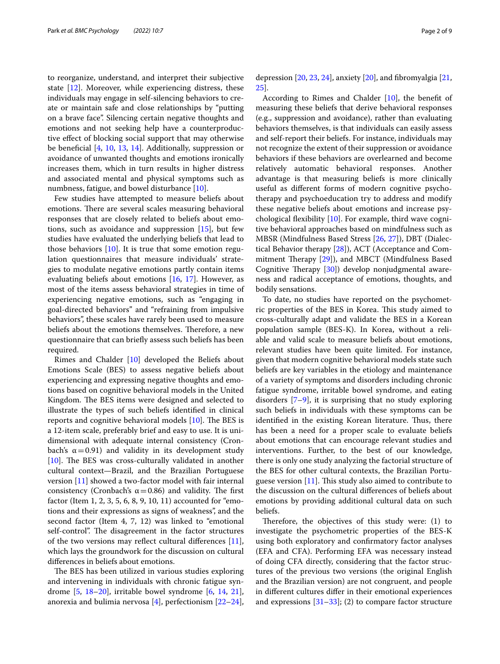to reorganize, understand, and interpret their subjective state [\[12](#page-8-11)]. Moreover, while experiencing distress, these individuals may engage in self-silencing behaviors to create or maintain safe and close relationships by "putting on a brave face". Silencing certain negative thoughts and emotions and not seeking help have a counterproductive efect of blocking social support that may otherwise be benefcial [\[4](#page-8-3), [10](#page-8-8), [13,](#page-8-12) [14\]](#page-8-13). Additionally, suppression or avoidance of unwanted thoughts and emotions ironically increases them, which in turn results in higher distress and associated mental and physical symptoms such as numbness, fatigue, and bowel disturbance [\[10\]](#page-8-8).

Few studies have attempted to measure beliefs about emotions. There are several scales measuring behavioral responses that are closely related to beliefs about emotions, such as avoidance and suppression [[15\]](#page-8-14), but few studies have evaluated the underlying beliefs that lead to those behaviors  $[10]$ . It is true that some emotion regulation questionnaires that measure individuals' strategies to modulate negative emotions partly contain items evaluating beliefs about emotions [[16,](#page-8-15) [17\]](#page-8-16). However, as most of the items assess behavioral strategies in time of experiencing negative emotions, such as "engaging in goal-directed behaviors" and "refraining from impulsive behaviors", these scales have rarely been used to measure beliefs about the emotions themselves. Therefore, a new questionnaire that can briefy assess such beliefs has been required.

Rimes and Chalder [\[10](#page-8-8)] developed the Beliefs about Emotions Scale (BES) to assess negative beliefs about experiencing and expressing negative thoughts and emotions based on cognitive behavioral models in the United Kingdom. The BES items were designed and selected to illustrate the types of such beliefs identifed in clinical reports and cognitive behavioral models  $[10]$  $[10]$ . The BES is a 12-item scale, preferably brief and easy to use. It is unidimensional with adequate internal consistency (Cronbach's  $\alpha$  = 0.91) and validity in its development study  $[10]$  $[10]$ . The BES was cross-culturally validated in another cultural context—Brazil, and the Brazilian Portuguese version [\[11\]](#page-8-9) showed a two-factor model with fair internal consistency (Cronbach's  $\alpha$  = 0.86) and validity. The first factor (Item 1, 2, 3, 5, 6, 8, 9, 10, 11) accounted for "emotions and their expressions as signs of weakness", and the second factor (Item 4, 7, 12) was linked to "emotional self-control". The disagreement in the factor structures of the two versions may reflect cultural differences  $[11]$  $[11]$ , which lays the groundwork for the discussion on cultural diferences in beliefs about emotions.

The BES has been utilized in various studies exploring and intervening in individuals with chronic fatigue syndrome [\[5](#page-8-4), [18](#page-8-17)[–20\]](#page-8-18), irritable bowel syndrome [[6](#page-8-5), [14](#page-8-13), [21](#page-8-19)], anorexia and bulimia nervosa [[4\]](#page-8-3), perfectionism [[22](#page-8-20)[–24](#page-8-21)],

depression [\[20](#page-8-18), [23](#page-8-22), [24\]](#page-8-21), anxiety [\[20](#page-8-18)], and fbromyalgia [[21](#page-8-19), [25\]](#page-8-23).

According to Rimes and Chalder [\[10](#page-8-8)], the beneft of measuring these beliefs that derive behavioral responses (e.g., suppression and avoidance), rather than evaluating behaviors themselves, is that individuals can easily assess and self-report their beliefs. For instance, individuals may not recognize the extent of their suppression or avoidance behaviors if these behaviors are overlearned and become relatively automatic behavioral responses. Another advantage is that measuring beliefs is more clinically useful as diferent forms of modern cognitive psychotherapy and psychoeducation try to address and modify these negative beliefs about emotions and increase psychological fexibility [[10\]](#page-8-8). For example, third wave cognitive behavioral approaches based on mindfulness such as MBSR (Mindfulness Based Stress [[26](#page-8-24), [27](#page-8-25)]), DBT (Dialectical Behavior therapy [\[28](#page-8-26)]), ACT (Acceptance and Commitment Therapy  $[29]$  $[29]$  $[29]$ ), and MBCT (Mindfulness Based Cognitive Therapy  $[30]$  $[30]$ ) develop nonjudgmental awareness and radical acceptance of emotions, thoughts, and bodily sensations.

To date, no studies have reported on the psychometric properties of the BES in Korea. This study aimed to cross-culturally adapt and validate the BES in a Korean population sample (BES-K). In Korea, without a reliable and valid scale to measure beliefs about emotions, relevant studies have been quite limited. For instance, given that modern cognitive behavioral models state such beliefs are key variables in the etiology and maintenance of a variety of symptoms and disorders including chronic fatigue syndrome, irritable bowel syndrome, and eating disorders [[7](#page-8-6)[–9](#page-8-7)], it is surprising that no study exploring such beliefs in individuals with these symptoms can be identified in the existing Korean literature. Thus, there has been a need for a proper scale to evaluate beliefs about emotions that can encourage relevant studies and interventions. Further, to the best of our knowledge, there is only one study analyzing the factorial structure of the BES for other cultural contexts, the Brazilian Portuguese version  $[11]$  $[11]$ . This study also aimed to contribute to the discussion on the cultural diferences of beliefs about emotions by providing additional cultural data on such beliefs.

Therefore, the objectives of this study were:  $(1)$  to investigate the psychometric properties of the BES-K using both exploratory and confrmatory factor analyses (EFA and CFA). Performing EFA was necessary instead of doing CFA directly, considering that the factor structures of the previous two versions (the original English and the Brazilian version) are not congruent, and people in diferent cultures difer in their emotional experiences and expressions  $[31-33]$  $[31-33]$  $[31-33]$ ; (2) to compare factor structure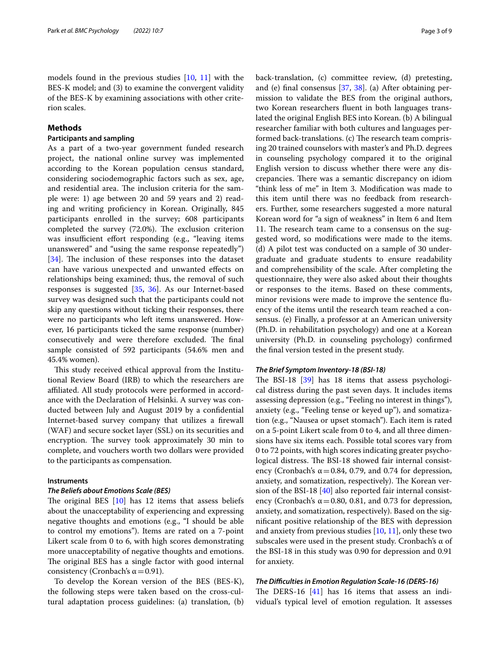models found in the previous studies [\[10](#page-8-8), [11](#page-8-9)] with the BES-K model; and (3) to examine the convergent validity of the BES-K by examining associations with other criterion scales.

# **Methods**

# **Participants and sampling**

As a part of a two-year government funded research project, the national online survey was implemented according to the Korean population census standard, considering sociodemographic factors such as sex, age, and residential area. The inclusion criteria for the sample were: 1) age between 20 and 59 years and 2) reading and writing proficiency in Korean. Originally, 845 participants enrolled in the survey; 608 participants completed the survey  $(72.0%)$ . The exclusion criterion was insufficient effort responding (e.g., "leaving items unanswered" and "using the same response repeatedly") [[34\]](#page-8-31). The inclusion of these responses into the dataset can have various unexpected and unwanted efects on relationships being examined; thus, the removal of such responses is suggested [[35,](#page-8-32) [36](#page-8-33)]. As our Internet-based survey was designed such that the participants could not skip any questions without ticking their responses, there were no participants who left items unanswered. However, 16 participants ticked the same response (number) consecutively and were therefore excluded. The final sample consisted of 592 participants (54.6% men and 45.4% women).

This study received ethical approval from the Institutional Review Board (IRB) to which the researchers are afliated. All study protocols were performed in accordance with the Declaration of Helsinki. A survey was conducted between July and August 2019 by a confdential Internet-based survey company that utilizes a frewall (WAF) and secure socket layer (SSL) on its securities and encryption. The survey took approximately 30 min to complete, and vouchers worth two dollars were provided to the participants as compensation.

# **Instruments**

# *The Beliefs about Emotions Scale (BES)*

The original BES  $[10]$  $[10]$  has 12 items that assess beliefs about the unacceptability of experiencing and expressing negative thoughts and emotions (e.g., "I should be able to control my emotions"). Items are rated on a 7-point Likert scale from 0 to 6, with high scores demonstrating more unacceptability of negative thoughts and emotions. The original BES has a single factor with good internal consistency (Cronbach's  $\alpha$  = 0.91).

To develop the Korean version of the BES (BES-K), the following steps were taken based on the cross-cultural adaptation process guidelines: (a) translation, (b)

back-translation, (c) committee review, (d) pretesting, and (e) final consensus  $[37, 38]$  $[37, 38]$  $[37, 38]$  $[37, 38]$ . (a) After obtaining permission to validate the BES from the original authors, two Korean researchers fuent in both languages translated the original English BES into Korean. (b) A bilingual researcher familiar with both cultures and languages performed back-translations. (c) The research team comprising 20 trained counselors with master's and Ph.D. degrees in counseling psychology compared it to the original English version to discuss whether there were any discrepancies. There was a semantic discrepancy on idiom "think less of me" in Item 3. Modifcation was made to this item until there was no feedback from researchers. Further, some researchers suggested a more natural Korean word for "a sign of weakness" in Item 6 and Item 11. The research team came to a consensus on the suggested word, so modifcations were made to the items. (d) A pilot test was conducted on a sample of 30 undergraduate and graduate students to ensure readability and comprehensibility of the scale. After completing the questionnaire, they were also asked about their thoughts or responses to the items. Based on these comments, minor revisions were made to improve the sentence fuency of the items until the research team reached a consensus. (e) Finally, a professor at an American university (Ph.D. in rehabilitation psychology) and one at a Korean university (Ph.D. in counseling psychology) confrmed the fnal version tested in the present study.

# *The Brief Symptom Inventory‑18 (BSI‑18)*

The BSI-18  $[39]$  has 18 items that assess psychological distress during the past seven days. It includes items assessing depression (e.g., "Feeling no interest in things"), anxiety (e.g., "Feeling tense or keyed up"), and somatization (e.g., "Nausea or upset stomach"). Each item is rated on a 5-point Likert scale from 0 to 4, and all three dimensions have six items each. Possible total scores vary from 0 to 72 points, with high scores indicating greater psychological distress. The BSI-18 showed fair internal consistency (Cronbach's  $\alpha$  = 0.84, 0.79, and 0.74 for depression, anxiety, and somatization, respectively). The Korean version of the BSI-18 [[40\]](#page-8-37) also reported fair internal consistency (Cronbach's  $\alpha$  = 0.80, 0.81, and 0.73 for depression, anxiety, and somatization, respectively). Based on the signifcant positive relationship of the BES with depression and anxiety from previous studies  $[10, 11]$  $[10, 11]$  $[10, 11]$ , only these two subscales were used in the present study. Cronbach's α of the BSI-18 in this study was 0.90 for depression and 0.91 for anxiety.

## *The Difculties in Emotion Regulation Scale‑16 (DERS‑16)*

The DERS-16  $[41]$  $[41]$  has 16 items that assess an individual's typical level of emotion regulation. It assesses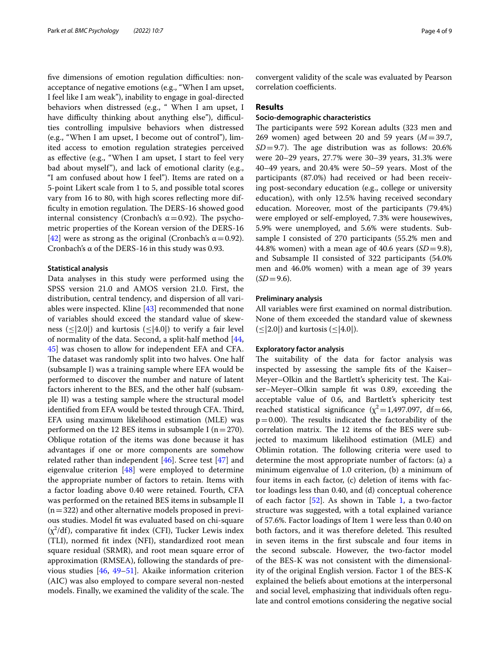five dimensions of emotion regulation difficulties: nonacceptance of negative emotions (e.g., "When I am upset, I feel like I am weak"), inability to engage in goal-directed behaviors when distressed (e.g., " When I am upset, I have difficulty thinking about anything else"), difficulties controlling impulsive behaviors when distressed (e.g., "When I am upset, I become out of control"), limited access to emotion regulation strategies perceived as efective (e.g., "When I am upset, I start to feel very bad about myself"), and lack of emotional clarity (e.g., "I am confused about how I feel"). Items are rated on a 5-point Likert scale from 1 to 5, and possible total scores vary from 16 to 80, with high scores refecting more difficulty in emotion regulation. The DERS-16 showed good internal consistency (Cronbach's  $\alpha$  = 0.92). The psychometric properties of the Korean version of the DERS-16 [[42\]](#page-8-39) were as strong as the original (Cronbach's  $\alpha$  = 0.92). Cronbach's α of the DERS-16 in this study was 0.93.

# **Statistical analysis**

Data analyses in this study were performed using the SPSS version 21.0 and AMOS version 21.0. First, the distribution, central tendency, and dispersion of all variables were inspected. Kline [[43](#page-9-0)] recommended that none of variables should exceed the standard value of skewness ( $\leq$ |2.0|) and kurtosis ( $\leq$ |4.0|) to verify a fair level of normality of the data. Second, a split-half method [\[44](#page-9-1), [45\]](#page-9-2) was chosen to allow for independent EFA and CFA. The dataset was randomly split into two halves. One half (subsample I) was a training sample where EFA would be performed to discover the number and nature of latent factors inherent to the BES, and the other half (subsample II) was a testing sample where the structural model identified from EFA would be tested through CFA. Third, EFA using maximum likelihood estimation (MLE) was performed on the 12 BES items in subsample I ( $n=270$ ). Oblique rotation of the items was done because it has advantages if one or more components are somehow related rather than independent [[46\]](#page-9-3). Scree test [\[47](#page-9-4)] and eigenvalue criterion [\[48](#page-9-5)] were employed to determine the appropriate number of factors to retain. Items with a factor loading above 0.40 were retained. Fourth, CFA was performed on the retained BES items in subsample II  $(n=322)$  and other alternative models proposed in previous studies. Model ft was evaluated based on chi-square  $(\chi^2/df)$ , comparative fit index (CFI), Tucker Lewis index (TLI), normed ft index (NFI), standardized root mean square residual (SRMR), and root mean square error of approximation (RMSEA), following the standards of previous studies [\[46,](#page-9-3) [49](#page-9-6)[–51\]](#page-9-7). Akaike information criterion (AIC) was also employed to compare several non-nested models. Finally, we examined the validity of the scale. The

convergent validity of the scale was evaluated by Pearson correlation coefficients.

## **Results**

# **Socio‑demographic characteristics**

The participants were 592 Korean adults (323 men and 269 women) aged between 20 and 59 years (*M*=39.7,  $SD = 9.7$ ). The age distribution was as follows: 20.6% were 20–29 years, 27.7% were 30–39 years, 31.3% were 40–49 years, and 20.4% were 50–59 years. Most of the participants (87.0%) had received or had been receiving post-secondary education (e.g., college or university education), with only 12.5% having received secondary education. Moreover, most of the participants (79.4%) were employed or self-employed, 7.3% were housewives, 5.9% were unemployed, and 5.6% were students. Subsample I consisted of 270 participants (55.2% men and 44.8% women) with a mean age of 40.6 years (*SD*=9.8), and Subsample II consisted of 322 participants (54.0% men and 46.0% women) with a mean age of 39 years  $(SD=9.6)$ .

# **Preliminary analysis**

All variables were frst examined on normal distribution. None of them exceeded the standard value of skewness (≤|2.0|) and kurtosis (≤|4.0|).

# **Exploratory factor analysis**

The suitability of the data for factor analysis was inspected by assessing the sample fts of the Kaiser– Meyer–Olkin and the Bartlett's sphericity test. The Kaiser–Meyer–Olkin sample ft was 0.89, exceeding the acceptable value of 0.6, and Bartlett's sphericity test reached statistical significance ( $\chi^2$  = 1,497.097, df = 66,  $p=0.00$ ). The results indicated the factorability of the correlation matrix. The 12 items of the BES were subjected to maximum likelihood estimation (MLE) and Oblimin rotation. The following criteria were used to determine the most appropriate number of factors: (a) a minimum eigenvalue of 1.0 criterion, (b) a minimum of four items in each factor, (c) deletion of items with factor loadings less than 0.40, and (d) conceptual coherence of each factor  $[52]$  $[52]$ . As shown in Table [1,](#page-5-0) a two-factor structure was suggested, with a total explained variance of 57.6%. Factor loadings of Item 1 were less than 0.40 on both factors, and it was therefore deleted. This resulted in seven items in the frst subscale and four items in the second subscale. However, the two-factor model of the BES-K was not consistent with the dimensionality of the original English version. Factor 1 of the BES-K explained the beliefs about emotions at the interpersonal and social level, emphasizing that individuals often regulate and control emotions considering the negative social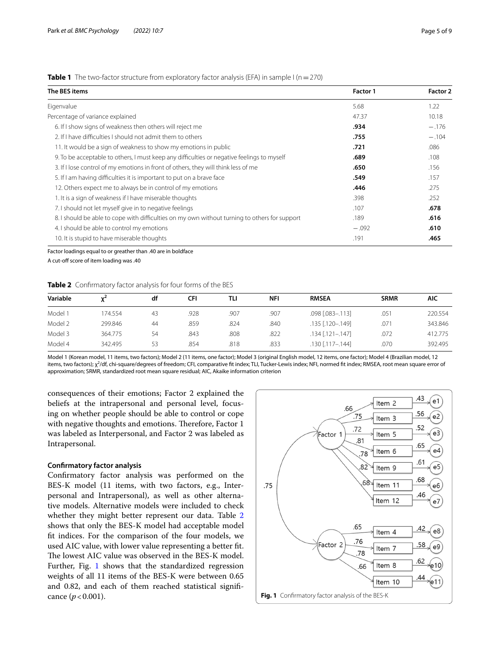# <span id="page-5-0"></span>**Table 1** The two-factor structure from exploratory factor analysis (EFA) in sample I ( $n=270$ )

| The BES items                                                                                 | <b>Factor 1</b> | Factor 2<br>1.22 |
|-----------------------------------------------------------------------------------------------|-----------------|------------------|
| Eigenvalue                                                                                    | 5.68            |                  |
| Percentage of variance explained                                                              | 47.37           | 10.18            |
| 6. If I show signs of weakness then others will reject me                                     | .934            | $-.176$          |
| 2. If I have difficulties I should not admit them to others                                   | .755            | $-.104$          |
| 11. It would be a sign of weakness to show my emotions in public                              | .721            | .086             |
| 9. To be acceptable to others, I must keep any difficulties or negative feelings to myself    | .689            | .108             |
| 3. If I lose control of my emotions in front of others, they will think less of me            | .650            | .156             |
| 5. If I am having difficulties it is important to put on a brave face                         | .549            | .157             |
| 12. Others expect me to always be in control of my emotions                                   | .446            | .275             |
| 1. It is a sign of weakness if I have miserable thoughts                                      | .398            | .252             |
| 7. I should not let myself give in to negative feelings                                       | .107            | .678             |
| 8. I should be able to cope with difficulties on my own without turning to others for support | .189            | .616             |
| 4. I should be able to control my emotions                                                    | $-.092$         | .610             |
| 10. It is stupid to have miserable thoughts                                                   | .191            | .465             |

Factor loadings equal to or greather than .40 are in boldface A cut-off score of item loading was .40

<span id="page-5-1"></span>**Table 2** Confrmatory factor analysis for four forms of the BES

| Variable |         | df | CFI  | TLI  | <b>NFI</b> | <b>RMSEA</b>           | <b>SRMR</b> | AIC     |
|----------|---------|----|------|------|------------|------------------------|-------------|---------|
| Model 1  | 174.554 | 43 | .928 | .907 | .907       | .098 [.083-.113]       | .051        | 220.554 |
| Model 2  | 299.846 | 44 | .859 | .824 | .840       | .135 [.120-.149]       | .07         | 343.846 |
| Model 3  | 364.775 | 54 | .843 | .808 | .822       | $.134$ $[.121 - .147]$ | .072        | 412.775 |
| Model 4  | 342.495 | 53 | .854 | .818 | .833       | .130 [.117 - .144]     | .070        | 392.495 |

Model 1 (Korean model, 11 items, two factors); Model 2 (11 items, one factor); Model 3 (original English model, 12 items, one factor); Model 4 (Brazilian model, 12 items, two factors); χ<sup>2</sup>/df, chi-square/degrees of freedom; CFI, comparative fit index; TLI, Tucker-Lewis index; NFI, normed fit index; RMSEA, root mean square error of approximation; SRMR, standardized root mean square residual; AIC, Akaike information criterion

consequences of their emotions; Factor 2 explained the beliefs at the intrapersonal and personal level, focusing on whether people should be able to control or cope with negative thoughts and emotions. Therefore, Factor 1 was labeled as Interpersonal, and Factor 2 was labeled as Intrapersonal.

# **Confrmatory factor analysis**

Confrmatory factor analysis was performed on the BES-K model (11 items, with two factors, e.g., Interpersonal and Intrapersonal), as well as other alternative models. Alternative models were included to check whether they might better represent our data. Table [2](#page-5-1) shows that only the BES-K model had acceptable model ft indices. For the comparison of the four models, we used AIC value, with lower value representing a better ft. The lowest AIC value was observed in the BES-K model. Further, Fig. [1](#page-5-2) shows that the standardized regression weights of all 11 items of the BES-K were between 0.65 and 0.82, and each of them reached statistical signifcance  $(p < 0.001)$ .

<span id="page-5-2"></span>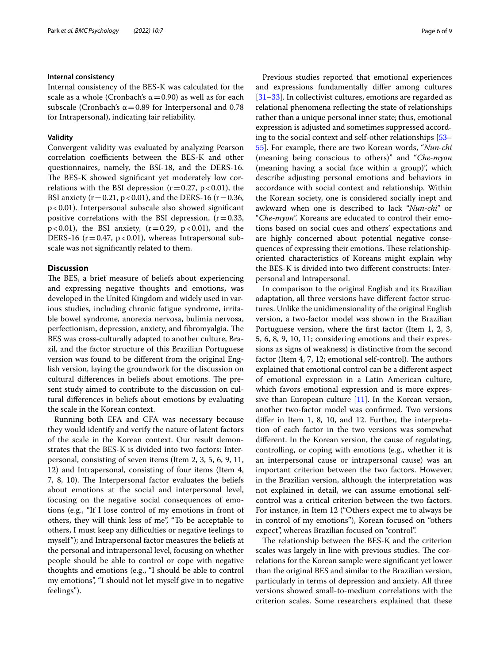### **Internal consistency**

Internal consistency of the BES-K was calculated for the scale as a whole (Cronbach's  $\alpha$  = 0.90) as well as for each subscale (Cronbach's  $\alpha$  = 0.89 for Interpersonal and 0.78 for Intrapersonal), indicating fair reliability.

# **Validity**

Convergent validity was evaluated by analyzing Pearson correlation coefficients between the BES-K and other questionnaires, namely, the BSI-18, and the DERS-16. The BES-K showed significant yet moderately low correlations with the BSI depression  $(r=0.27, p<0.01)$ , the BSI anxiety ( $r = 0.21$ ,  $p < 0.01$ ), and the DERS-16 ( $r = 0.36$ , p<0.01). Interpersonal subscale also showed signifcant positive correlations with the BSI depression,  $(r=0.33,$  $p < 0.01$ ), the BSI anxiety,  $(r = 0.29, p < 0.01)$ , and the DERS-16 ( $r = 0.47$ ,  $p < 0.01$ ), whereas Intrapersonal subscale was not signifcantly related to them.

# **Discussion**

The BES, a brief measure of beliefs about experiencing and expressing negative thoughts and emotions, was developed in the United Kingdom and widely used in various studies, including chronic fatigue syndrome, irritable bowel syndrome, anorexia nervosa, bulimia nervosa, perfectionism, depression, anxiety, and fibromyalgia. The BES was cross-culturally adapted to another culture, Brazil, and the factor structure of this Brazilian Portuguese version was found to be diferent from the original English version, laying the groundwork for the discussion on cultural differences in beliefs about emotions. The present study aimed to contribute to the discussion on cultural diferences in beliefs about emotions by evaluating the scale in the Korean context.

Running both EFA and CFA was necessary because they would identify and verify the nature of latent factors of the scale in the Korean context. Our result demonstrates that the BES-K is divided into two factors: Interpersonal, consisting of seven items (Item 2, 3, 5, 6, 9, 11, 12) and Intrapersonal, consisting of four items (Item 4, 7, 8, 10). The Interpersonal factor evaluates the beliefs about emotions at the social and interpersonal level, focusing on the negative social consequences of emotions (e.g., "If I lose control of my emotions in front of others, they will think less of me", "To be acceptable to others, I must keep any difficulties or negative feelings to myself"); and Intrapersonal factor measures the beliefs at the personal and intrapersonal level, focusing on whether people should be able to control or cope with negative thoughts and emotions (e.g., "I should be able to control my emotions", "I should not let myself give in to negative feelings").

Previous studies reported that emotional experiences and expressions fundamentally difer among cultures [[31–](#page-8-29)[33\]](#page-8-30). In collectivist cultures, emotions are regarded as relational phenomena refecting the state of relationships rather than a unique personal inner state; thus, emotional expression is adjusted and sometimes suppressed according to the social context and self-other relationships [[53–](#page-9-9) [55\]](#page-9-10). For example, there are two Korean words, "*Nun-chi* (meaning being conscious to others)" and "*Che-myon* (meaning having a social face within a group)", which describe adjusting personal emotions and behaviors in accordance with social context and relationship. Within the Korean society, one is considered socially inept and awkward when one is described to lack "*Nun-chi*" or "*Che-myon*". Koreans are educated to control their emotions based on social cues and others' expectations and are highly concerned about potential negative consequences of expressing their emotions. These relationshiporiented characteristics of Koreans might explain why the BES-K is divided into two diferent constructs: Interpersonal and Intrapersonal.

In comparison to the original English and its Brazilian adaptation, all three versions have diferent factor structures. Unlike the unidimensionality of the original English version, a two-factor model was shown in the Brazilian Portuguese version, where the frst factor (Item 1, 2, 3, 5, 6, 8, 9, 10, 11; considering emotions and their expressions as signs of weakness) is distinctive from the second factor (Item  $4, 7, 12$ ; emotional self-control). The authors explained that emotional control can be a diferent aspect of emotional expression in a Latin American culture, which favors emotional expression and is more expressive than European culture [[11\]](#page-8-9). In the Korean version, another two-factor model was confrmed. Two versions difer in Item 1, 8, 10, and 12. Further, the interpretation of each factor in the two versions was somewhat diferent. In the Korean version, the cause of regulating, controlling, or coping with emotions (e.g., whether it is an interpersonal cause or intrapersonal cause) was an important criterion between the two factors. However, in the Brazilian version, although the interpretation was not explained in detail, we can assume emotional selfcontrol was a critical criterion between the two factors. For instance, in Item 12 ("Others expect me to always be in control of my emotions"), Korean focused on "others expect", whereas Brazilian focused on "control".

The relationship between the BES-K and the criterion scales was largely in line with previous studies. The correlations for the Korean sample were signifcant yet lower than the original BES and similar to the Brazilian version, particularly in terms of depression and anxiety. All three versions showed small-to-medium correlations with the criterion scales. Some researchers explained that these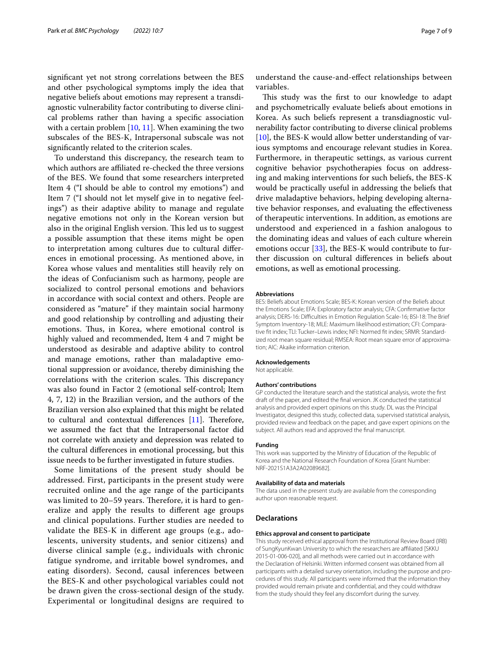signifcant yet not strong correlations between the BES and other psychological symptoms imply the idea that negative beliefs about emotions may represent a transdiagnostic vulnerability factor contributing to diverse clinical problems rather than having a specifc association with a certain problem [\[10,](#page-8-8) [11](#page-8-9)]. When examining the two subscales of the BES-K, Intrapersonal subscale was not signifcantly related to the criterion scales.

To understand this discrepancy, the research team to which authors are affiliated re-checked the three versions of the BES. We found that some researchers interpreted Item 4 ("I should be able to control my emotions") and Item 7 ("I should not let myself give in to negative feelings") as their adaptive ability to manage and regulate negative emotions not only in the Korean version but also in the original English version. This led us to suggest a possible assumption that these items might be open to interpretation among cultures due to cultural diferences in emotional processing. As mentioned above, in Korea whose values and mentalities still heavily rely on the ideas of Confucianism such as harmony, people are socialized to control personal emotions and behaviors in accordance with social context and others. People are considered as "mature" if they maintain social harmony and good relationship by controlling and adjusting their emotions. Thus, in Korea, where emotional control is highly valued and recommended, Item 4 and 7 might be understood as desirable and adaptive ability to control and manage emotions, rather than maladaptive emotional suppression or avoidance, thereby diminishing the correlations with the criterion scales. This discrepancy was also found in Factor 2 (emotional self-control; Item 4, 7, 12) in the Brazilian version, and the authors of the Brazilian version also explained that this might be related to cultural and contextual differences  $[11]$ . Therefore, we assumed the fact that the Intrapersonal factor did not correlate with anxiety and depression was related to the cultural diferences in emotional processing, but this issue needs to be further investigated in future studies.

Some limitations of the present study should be addressed. First, participants in the present study were recruited online and the age range of the participants was limited to 20–59 years. Therefore, it is hard to generalize and apply the results to diferent age groups and clinical populations. Further studies are needed to validate the BES-K in diferent age groups (e.g., adolescents, university students, and senior citizens) and diverse clinical sample (e.g., individuals with chronic fatigue syndrome, and irritable bowel syndromes, and eating disorders). Second, causal inferences between the BES-K and other psychological variables could not be drawn given the cross-sectional design of the study. Experimental or longitudinal designs are required to

understand the cause-and-efect relationships between variables.

This study was the first to our knowledge to adapt and psychometrically evaluate beliefs about emotions in Korea. As such beliefs represent a transdiagnostic vulnerability factor contributing to diverse clinical problems [[10\]](#page-8-8), the BES-K would allow better understanding of various symptoms and encourage relevant studies in Korea. Furthermore, in therapeutic settings, as various current cognitive behavior psychotherapies focus on addressing and making interventions for such beliefs, the BES-K would be practically useful in addressing the beliefs that drive maladaptive behaviors, helping developing alternative behavior responses, and evaluating the efectiveness of therapeutic interventions. In addition, as emotions are understood and experienced in a fashion analogous to the dominating ideas and values of each culture wherein emotions occur [[33\]](#page-8-30), the BES-K would contribute to further discussion on cultural diferences in beliefs about emotions, as well as emotional processing.

#### **Abbreviations**

BES: Beliefs about Emotions Scale; BES-K: Korean version of the Beliefs about the Emotions Scale; EFA: Exploratory factor analysis; CFA: Confrmative factor analysis; DERS-16: Difficulties in Emotion Regulation Scale-16; BSI-18: The Brief Symptom Inventory-18; MLE: Maximum likelihood estimation; CFI: Comparative ft index; TLI: Tucker–Lewis index; NFI: Normed ft index; SRMR: Standardized root mean square residual; RMSEA: Root mean square error of approximation; AIC: Akaike information criterion.

#### **Acknowledgements**

Not applicable.

#### **Authors' contributions**

GP conducted the literature search and the statistical analysis, wrote the frst draft of the paper, and edited the fnal version. JK conducted the statistical analysis and provided expert opinions on this study. DL was the Principal Investigator, designed this study, collected data, supervised statistical analysis, provided review and feedback on the paper, and gave expert opinions on the subject. All authors read and approved the fnal manuscript.

#### **Funding**

This work was supported by the Ministry of Education of the Republic of Korea and the National Research Foundation of Korea [Grant Number: NRF-2021S1A3A2A02089682].

### **Availability of data and materials**

The data used in the present study are available from the corresponding author upon reasonable request.

#### **Declarations**

#### **Ethics approval and consent to participate**

This study received ethical approval from the Institutional Review Board (IRB) of SungKyunKwan University to which the researchers are affiliated [SKKU 2015-01-006-020], and all methods were carried out in accordance with the Declaration of Helsinki. Written informed consent was obtained from all participants with a detailed survey orientation, including the purpose and procedures of this study. All participants were informed that the information they provided would remain private and confdential, and they could withdraw from the study should they feel any discomfort during the survey.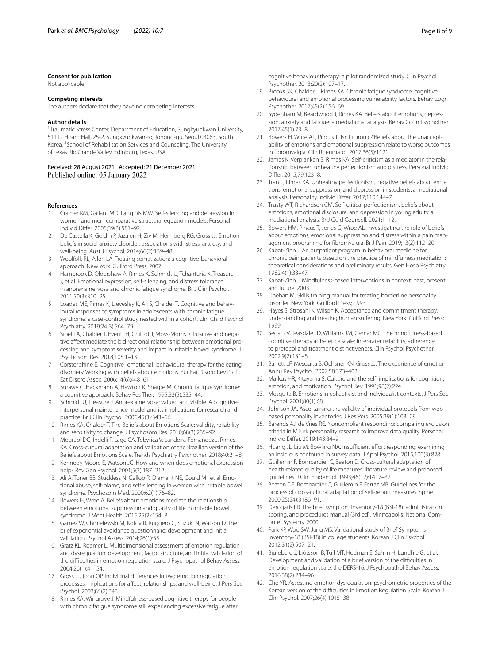#### **Consent for publication**

Not applicable.

### **Competing interests**

The authors declare that they have no competing interests.

#### **Author details**

<sup>1</sup> Traumatic Stress Center, Department of Education, Sungkyunkwan University, 51112 Hoam Hall, 25-2, Sungkyunkwan-ro, Jongno-gu, Seoul 03063, South Korea. <sup>2</sup> School of Rehabilitation Services and Counseling, The University of Texas Rio Grande Valley, Edinburg, Texas, USA.

Received: 28 August 2021 Accepted: 21 December 2021

#### **References**

- <span id="page-8-0"></span>1. Cramer KM, Gallant MD, Langlois MW. Self-silencing and depression in women and men: comparative structural equation models. Personal Individ Difer. 2005;39(3):581–92.
- <span id="page-8-1"></span>2. De Castella K, Goldin P, Jazaieri H, Ziv M, Heimberg RG, Gross JJ. Emotion beliefs in social anxiety disorder: associations with stress, anxiety, and well-being. Aust J Psychol. 2014;66(2):139–48.
- <span id="page-8-2"></span>3. Woolfolk RL, Allen LA. Treating somatization: a cognitive-behavioral approach. New York: Guilford Press; 2007.
- <span id="page-8-3"></span>4. Hambrook D, Oldershaw A, Rimes K, Schmidt U, Tchanturia K, Treasure J, et al. Emotional expression, self-silencing, and distress tolerance in anorexia nervosa and chronic fatigue syndrome. Br J Clin Psychol. 2011;50(3):310–25.
- <span id="page-8-4"></span>5. Loades ME, Rimes K, Lievesley K, Ali S, Chalder T. Cognitive and behavioural responses to symptoms in adolescents with chronic fatigue syndrome: a case-control study nested within a cohort. Clin Child Psychol Psychiatry. 2019;24(3):564–79.
- <span id="page-8-5"></span>6. Sibelli A, Chalder T, Everitt H, Chilcot J, Moss-Morris R. Positive and negative afect mediate the bidirectional relationship between emotional processing and symptom severity and impact in irritable bowel syndrome. J Psychosom Res. 2018;105:1–13.
- <span id="page-8-6"></span>7. Corstorphine E. Cognitive–emotional–behavioural therapy for the eating disorders: Working with beliefs about emotions. Eur Eat Disord Rev Prof J Eat Disord Assoc. 2006;14(6):448–61.
- <span id="page-8-10"></span>8. Surawy C, Hackmann A, Hawton K, Sharpe M. Chronic fatigue syndrome: a cognitive approach. Behav Res Ther. 1995;33(5):535–44.
- <span id="page-8-7"></span>9. Schmidt U, Treasure J. Anorexia nervosa: valued and visible. A cognitiveinterpersonal maintenance model and its implications for research and practice. Br J Clin Psychol. 2006;45(3):343–66.
- <span id="page-8-8"></span>10. Rimes KA, Chalder T. The Beliefs about Emotions Scale: validity, reliability and sensitivity to change. J Psychosom Res. 2010;68(3):285–92.
- <span id="page-8-9"></span>11. Mograbi DC, Indelli P, Lage CA, Tebyriça V, Landeira-Fernandez J, Rimes KA. Cross-cultural adaptation and validation of the Brazilian version of the Beliefs about Emotions Scale. Trends Psychiatry Psychother. 2018;40:21–8.
- <span id="page-8-11"></span>12. Kennedy-Moore E, Watson JC. How and when does emotional expression help? Rev Gen Psychol. 2001;5(3):187–212.
- <span id="page-8-12"></span>13. Ali A, Toner BB, Stuckless N, Gallop R, Diamant NE, Gould MI, et al. Emotional abuse, self-blame, and self-silencing in women with irritable bowel syndrome. Psychosom Med. 2000;62(1):76–82.
- <span id="page-8-13"></span>14. Bowers H, Wroe A. Beliefs about emotions mediate the relationship between emotional suppression and quality of life in irritable bowel syndrome. J Ment Health. 2016;25(2):154–8.
- <span id="page-8-14"></span>15. Gámez W, Chmielewski M, Kotov R, Ruggero C, Suzuki N, Watson D. The brief experiential avoidance questionnaire: development and initial validation. Psychol Assess. 2014;26(1):35.
- <span id="page-8-15"></span>16. Gratz KL, Roemer L. Multidimensional assessment of emotion regulation and dysregulation: development, factor structure, and initial validation of the difficulties in emotion regulation scale. J Psychopathol Behav Assess. 2004;26(1):41–54.
- <span id="page-8-16"></span>17. Gross JJ, John OP. Individual diferences in two emotion regulation processes: implications for afect, relationships, and well-being. J Pers Soc Psychol. 2003;85(2):348.
- <span id="page-8-17"></span>18. Rimes KA, Wingrove J. Mindfulness-based cognitive therapy for people with chronic fatigue syndrome still experiencing excessive fatigue after

cognitive behaviour therapy: a pilot randomized study. Clin Psychol Psychother. 2013;20(2):107–17.

- 19. Brooks SK, Chalder T, Rimes KA. Chronic fatigue syndrome: cognitive, behavioural and emotional processing vulnerability factors. Behav Cogn Psychother. 2017;45(2):156–69.
- <span id="page-8-18"></span>20. Sydenham M, Beardwood J, Rimes KA. Beliefs about emotions, depression, anxiety and fatigue: a mediational analysis. Behav Cogn Psychother. 2017;45(1):73–8.
- <span id="page-8-19"></span>21. Bowers H, Wroe AL, Pincus T. 'Isn't it ironic?'Beliefs about the unacceptability of emotions and emotional suppression relate to worse outcomes in fbromyalgia. Clin Rheumatol. 2017;36(5):1121.
- <span id="page-8-20"></span>22. James K, Verplanken B, Rimes KA. Self-criticism as a mediator in the relationship between unhealthy perfectionism and distress. Personal Individ Difer. 2015;79:123–8.
- <span id="page-8-22"></span>23. Tran L, Rimes KA. Unhealthy perfectionism, negative beliefs about emotions, emotional suppression, and depression in students: a mediational analysis. Personality Individ Difer. 2017;110:144–7.
- <span id="page-8-21"></span>24. Trusty WT, Richardson CM. Self-critical perfectionism, beliefs about emotions, emotional disclosure, and depression in young adults: a mediational analysis. Br J Guid Counsell. 2021:1–12.
- <span id="page-8-23"></span>25. Bowers HM, Pincus T, Jones G, Wroe AL. Investigating the role of beliefs about emotions, emotional suppression and distress within a pain management programme for fbromyalgia. Br J Pain. 2019;13(2):112–20.
- <span id="page-8-24"></span>26. Kabat-Zinn J. An outpatient program in behavioral medicine for chronic pain patients based on the practice of mindfulness meditation: theoretical considerations and preliminary results. Gen Hosp Psychiatry. 1982;4(1):33–47.
- <span id="page-8-25"></span>27. Kabat-Zinn J. Mindfulness-based interventions in context: past, present, and future. 2003.
- <span id="page-8-26"></span>28. Linehan M. Skills training manual for treating borderline personality disorder. New York: Guilford Press; 1993.
- <span id="page-8-27"></span>29. Hayes S, Strosahl K, Wilson K. Acceptance and commitment therapy: understanding and treating human sufering. New York: Guilford Press; 1999.
- <span id="page-8-28"></span>30. Segal ZV, Teasdale JD, Williams JM, Gemar MC. The mindfulness-based cognitive therapy adherence scale: inter-rater reliability, adherence to protocol and treatment distinctiveness. Clin Psychol Psychother. 2002;9(2):131–8.
- <span id="page-8-29"></span>31. Barrett LF, Mesquita B, Ochsner KN, Gross JJ. The experience of emotion. Annu Rev Psychol. 2007;58:373–403.
- 32. Markus HR, Kitayama S. Culture and the self: implications for cognition, emotion, and motivation. Psychol Rev. 1991;98(2):224.
- <span id="page-8-30"></span>33. Mesquita B. Emotions in collectivist and individualist contexts. J Pers Soc Psychol. 2001;80(1):68.
- <span id="page-8-31"></span>34. Johnson JA. Ascertaining the validity of individual protocols from webbased personality inventories. J Res Pers. 2005;39(1):103–29.
- <span id="page-8-32"></span>35. Barends AJ, de Vries RE. Noncompliant responding: comparing exclusion criteria in MTurk personality research to improve data quality. Personal Individ Difer. 2019;143:84–9.
- <span id="page-8-33"></span>36. Huang JL, Liu M, Bowling NA. Insufficient effort responding: examining an insidious confound in survey data. J Appl Psychol. 2015;100(3):828.
- <span id="page-8-34"></span>37. Guillemin F, Bombardier C, Beaton D. Cross-cultural adaptation of health-related quality of life measures: literature review and proposed guidelines. J Clin Epidemiol. 1993;46(12):1417–32.
- <span id="page-8-35"></span>38. Beaton DE, Bombardier C, Guillemin F, Ferraz MB. Guidelines for the process of cross-cultural adaptation of self-report measures. Spine. 2000;25(24):3186–91.
- <span id="page-8-36"></span>39. Derogatis LR. The brief symptom inventory-18 (BSI-18): administration. scoring, and procedures manual (3rd ed), Minneapolis: National Computer Systems. 2000.
- <span id="page-8-37"></span>40. Park KP, Woo SW, Jang MS. Validational study of Brief Symptoms Inventory-18 (BSI-18) in college students. Korean J Clin Psychol. 2012;31(2):507–21.
- <span id="page-8-38"></span>41. Bjureberg J, Ljótsson B, Tull MT, Hedman E, Sahlin H, Lundh L-G, et al. Development and validation of a brief version of the difficulties in emotion regulation scale: the DERS-16. J Psychopathol Behav Assess. 2016;38(2):284–96.
- <span id="page-8-39"></span>42. Cho YR. Assessing emotion dysregulation: psychometric properties of the Korean version of the difficulties in Emotion Regulation Scale. Korean J Clin Psychol. 2007;26(4):1015–38.